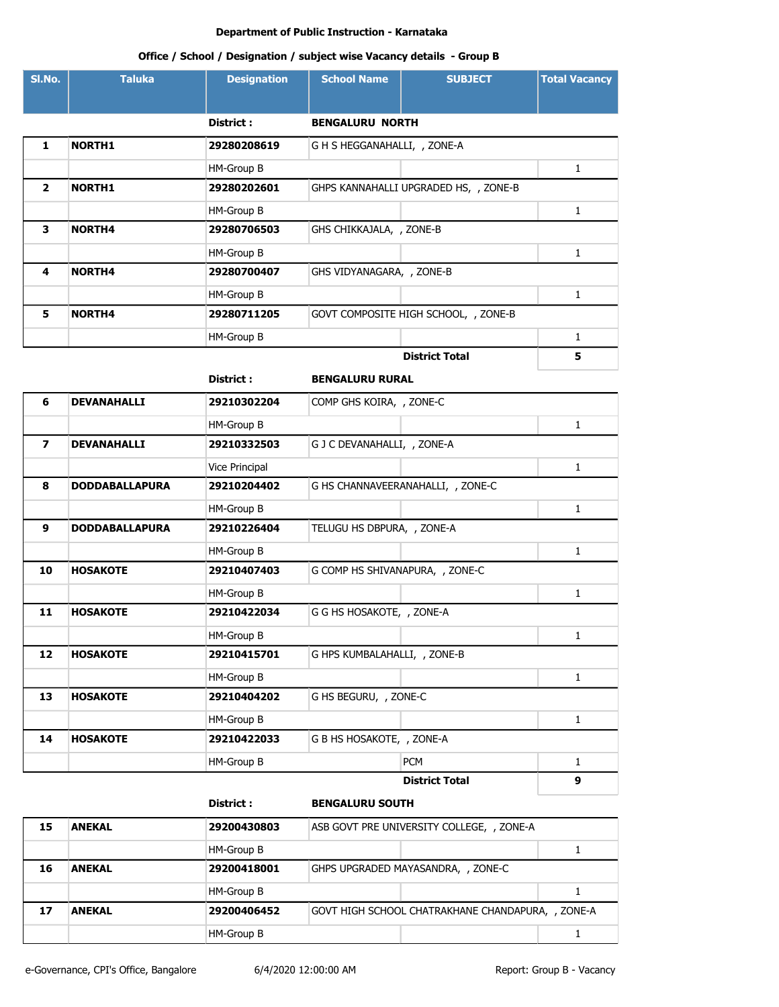| SI.No.         | <b>Taluka</b>         | <b>Designation</b> | <b>School Name</b>           | <b>SUBJECT</b>                        | <b>Total Vacancy</b> |
|----------------|-----------------------|--------------------|------------------------------|---------------------------------------|----------------------|
|                |                       |                    |                              |                                       |                      |
|                |                       | District :         | <b>BENGALURU NORTH</b>       |                                       |                      |
| 1              | <b>NORTH1</b>         | 29280208619        | G H S HEGGANAHALLI, , ZONE-A |                                       |                      |
|                |                       | HM-Group B         |                              |                                       | $\mathbf{1}$         |
| $\mathbf{2}$   | <b>NORTH1</b>         | 29280202601        |                              | GHPS KANNAHALLI UPGRADED HS, , ZONE-B |                      |
|                |                       | HM-Group B         |                              |                                       | 1                    |
| 3              | <b>NORTH4</b>         | 29280706503        | GHS CHIKKAJALA, , ZONE-B     |                                       |                      |
|                |                       | HM-Group B         |                              |                                       | $\mathbf{1}$         |
| 4              | <b>NORTH4</b>         | 29280700407        | GHS VIDYANAGARA, , ZONE-B    |                                       |                      |
|                |                       | HM-Group B         |                              |                                       | $\mathbf{1}$         |
| 5              | <b>NORTH4</b>         | 29280711205        |                              | GOVT COMPOSITE HIGH SCHOOL, , ZONE-B  |                      |
|                |                       | HM-Group B         |                              |                                       | 1                    |
|                |                       |                    |                              | <b>District Total</b>                 | 5                    |
|                |                       | District:          | <b>BENGALURU RURAL</b>       |                                       |                      |
| 6              | <b>DEVANAHALLI</b>    | 29210302204        | COMP GHS KOIRA, , ZONE-C     |                                       |                      |
|                |                       | HM-Group B         |                              |                                       | $\mathbf{1}$         |
| $\overline{ }$ | <b>DEVANAHALLI</b>    | 29210332503        | G J C DEVANAHALLI, , ZONE-A  |                                       |                      |
|                |                       | Vice Principal     |                              |                                       | 1                    |
| 8              | <b>DODDABALLAPURA</b> | 29210204402        |                              | G HS CHANNAVEERANAHALLI, , ZONE-C     |                      |
|                |                       | HM-Group B         |                              |                                       | 1                    |
| 9              | <b>DODDABALLAPURA</b> | 29210226404        | TELUGU HS DBPURA, , ZONE-A   |                                       |                      |
|                |                       | HM-Group B         |                              |                                       | 1                    |
| 10             | <b>HOSAKOTE</b>       | 29210407403        |                              | G COMP HS SHIVANAPURA, , ZONE-C       |                      |
|                |                       | HM-Group B         |                              |                                       | 1                    |
| 11             | <b>HOSAKOTE</b>       | 29210422034        | G G HS HOSAKOTE, , ZONE-A    |                                       |                      |
|                |                       | HM-Group B         |                              |                                       | 1                    |
| 12             | <b>HOSAKOTE</b>       | 29210415701        | G HPS KUMBALAHALLI, , ZONE-B |                                       |                      |
|                |                       | HM-Group B         |                              |                                       | $\mathbf{1}$         |
| 13             | <b>HOSAKOTE</b>       | 29210404202        | G HS BEGURU, , ZONE-C        |                                       |                      |
|                |                       | HM-Group B         |                              |                                       | $\mathbf{1}$         |
| 14             | <b>HOSAKOTE</b>       | 29210422033        | G B HS HOSAKOTE, , ZONE-A    |                                       |                      |
|                |                       | HM-Group B         |                              | <b>PCM</b>                            | 1                    |
|                |                       |                    |                              | <b>District Total</b>                 | 9                    |
|                |                       | District:          | <b>BENGALURU SOUTH</b>       |                                       |                      |

| <b>ANEKAL</b> | 29200430803 | ASB GOVT PRE UNIVERSITY COLLEGE, , ZONE-A         |  |  |
|---------------|-------------|---------------------------------------------------|--|--|
|               | HM-Group B  |                                                   |  |  |
| <b>ANEKAL</b> | 29200418001 | GHPS UPGRADED MAYASANDRA, , ZONE-C                |  |  |
|               | HM-Group B  |                                                   |  |  |
| <b>ANEKAL</b> | 29200406452 | GOVT HIGH SCHOOL CHATRAKHANE CHANDAPURA, , ZONE-A |  |  |
|               | HM-Group B  |                                                   |  |  |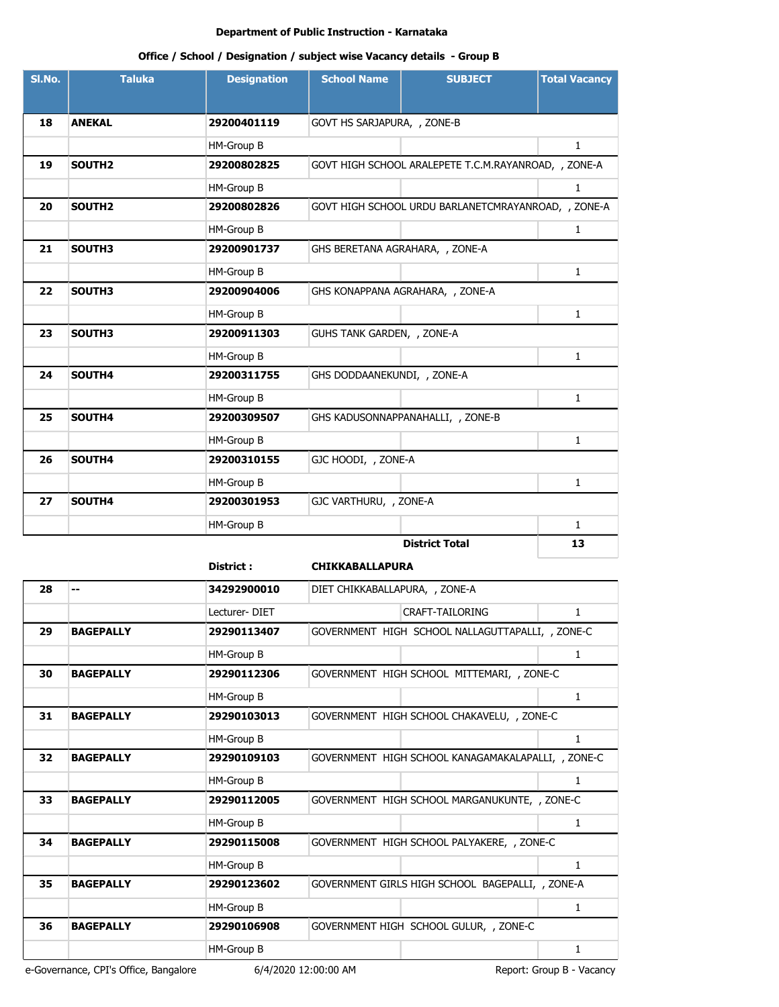# **Office / School / Designation / subject wise Vacancy details - Group B**

| SI.No. | <b>Taluka</b>      | <b>Designation</b> | <b>School Name</b>              | <b>SUBJECT</b>                                       | <b>Total Vacancy</b> |
|--------|--------------------|--------------------|---------------------------------|------------------------------------------------------|----------------------|
|        |                    |                    |                                 |                                                      |                      |
| 18     | <b>ANEKAL</b>      | 29200401119        | GOVT HS SARJAPURA, , ZONE-B     |                                                      |                      |
|        |                    | HM-Group B         |                                 |                                                      | $\mathbf{1}$         |
| 19     | SOUTH <sub>2</sub> | 29200802825        |                                 | GOVT HIGH SCHOOL ARALEPETE T.C.M.RAYANROAD, , ZONE-A |                      |
|        |                    | HM-Group B         |                                 |                                                      | $\mathbf{1}$         |
| 20     | SOUTH <sub>2</sub> | 29200802826        |                                 | GOVT HIGH SCHOOL URDU BARLANETCMRAYANROAD, , ZONE-A  |                      |
|        |                    | HM-Group B         |                                 |                                                      | $\mathbf{1}$         |
| 21     | SOUTH3             | 29200901737        | GHS BERETANA AGRAHARA, , ZONE-A |                                                      |                      |
|        |                    | HM-Group B         |                                 |                                                      | $\mathbf{1}$         |
| 22     | SOUTH3             | 29200904006        |                                 | GHS KONAPPANA AGRAHARA, , ZONE-A                     |                      |
|        |                    | HM-Group B         |                                 |                                                      | $\mathbf{1}$         |
| 23     | SOUTH3             | 29200911303        | GUHS TANK GARDEN, , ZONE-A      |                                                      |                      |
|        |                    | HM-Group B         |                                 |                                                      | $\mathbf{1}$         |
| 24     | SOUTH4             | 29200311755        | GHS DODDAANEKUNDI, , ZONE-A     |                                                      |                      |
|        |                    | HM-Group B         |                                 |                                                      | $\mathbf{1}$         |
| 25     | SOUTH4             | 29200309507        |                                 | GHS KADUSONNAPPANAHALLI, , ZONE-B                    |                      |
|        |                    | HM-Group B         |                                 |                                                      | $\mathbf{1}$         |
| 26     | SOUTH4             | 29200310155        | GJC HOODI, , ZONE-A             |                                                      |                      |
|        |                    | HM-Group B         |                                 |                                                      | 1                    |
| 27     | SOUTH4             | 29200301953        | GJC VARTHURU, , ZONE-A          |                                                      |                      |
|        |                    | HM-Group B         |                                 |                                                      | $\mathbf{1}$         |
|        |                    |                    |                                 | <b>District Total</b>                                | 13                   |

# **District : CHIKKABALLAPURA**

| 28 |                  | 34292900010   | DIET CHIKKABALLAPURA, , ZONE-A                     |   |
|----|------------------|---------------|----------------------------------------------------|---|
|    |                  | Lecturer-DIET | <b>CRAFT-TAILORING</b>                             | 1 |
| 29 | <b>BAGEPALLY</b> | 29290113407   | GOVERNMENT HIGH SCHOOL NALLAGUTTAPALLI, , ZONE-C   |   |
|    |                  | HM-Group B    |                                                    | 1 |
| 30 | <b>BAGEPALLY</b> | 29290112306   | GOVERNMENT HIGH SCHOOL MITTEMARI, , ZONE-C         |   |
|    |                  | HM-Group B    |                                                    | 1 |
| 31 | <b>BAGEPALLY</b> | 29290103013   | GOVERNMENT HIGH SCHOOL CHAKAVELU, , ZONE-C         |   |
|    |                  | HM-Group B    |                                                    | 1 |
| 32 | <b>BAGEPALLY</b> | 29290109103   | GOVERNMENT HIGH SCHOOL KANAGAMAKALAPALLI, , ZONE-C |   |
|    |                  | HM-Group B    |                                                    | 1 |
| 33 | <b>BAGEPALLY</b> | 29290112005   | GOVERNMENT HIGH SCHOOL MARGANUKUNTE, , ZONE-C      |   |
|    |                  | HM-Group B    |                                                    | 1 |
| 34 | <b>BAGEPALLY</b> | 29290115008   | GOVERNMENT HIGH SCHOOL PALYAKERE, , ZONE-C         |   |
|    |                  | HM-Group B    |                                                    | 1 |
| 35 | <b>BAGEPALLY</b> | 29290123602   | GOVERNMENT GIRLS HIGH SCHOOL BAGEPALLI, , ZONE-A   |   |
|    |                  | HM-Group B    |                                                    | 1 |
| 36 | <b>BAGEPALLY</b> | 29290106908   | GOVERNMENT HIGH SCHOOL GULUR, , ZONE-C             |   |
|    |                  | HM-Group B    |                                                    | 1 |
|    |                  |               |                                                    |   |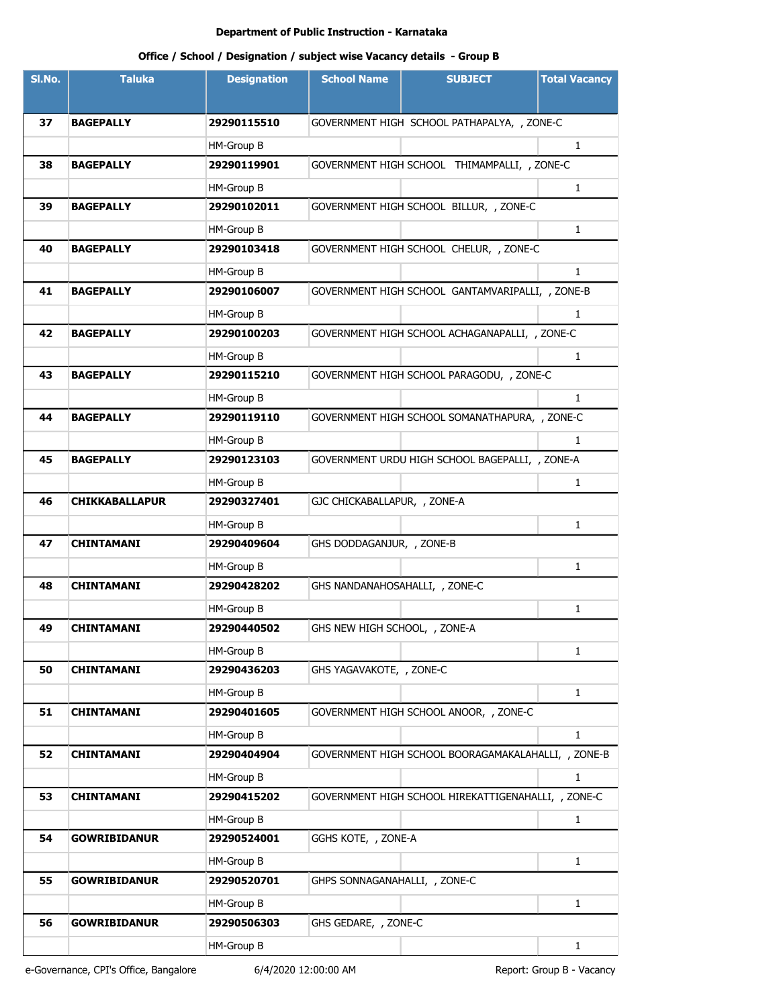| SI.No. | <b>Taluka</b>         | <b>Designation</b> | <b>School Name</b>             | <b>SUBJECT</b>                                      | <b>Total Vacancy</b> |
|--------|-----------------------|--------------------|--------------------------------|-----------------------------------------------------|----------------------|
|        |                       |                    |                                |                                                     |                      |
| 37     | <b>BAGEPALLY</b>      | 29290115510        |                                | GOVERNMENT HIGH SCHOOL PATHAPALYA, , ZONE-C         |                      |
|        |                       | HM-Group B         |                                |                                                     | $\mathbf{1}$         |
| 38     | <b>BAGEPALLY</b>      | 29290119901        |                                | GOVERNMENT HIGH SCHOOL THIMAMPALLI, , ZONE-C        |                      |
|        |                       | HM-Group B         |                                |                                                     | $\mathbf{1}$         |
| 39     | <b>BAGEPALLY</b>      | 29290102011        |                                | GOVERNMENT HIGH SCHOOL BILLUR, , ZONE-C             |                      |
|        |                       | HM-Group B         |                                |                                                     | $\mathbf{1}$         |
| 40     | <b>BAGEPALLY</b>      | 29290103418        |                                | GOVERNMENT HIGH SCHOOL CHELUR, , ZONE-C             |                      |
|        |                       | HM-Group B         |                                |                                                     | $\mathbf{1}$         |
| 41     | <b>BAGEPALLY</b>      | 29290106007        |                                | GOVERNMENT HIGH SCHOOL GANTAMVARIPALLI, , ZONE-B    |                      |
|        |                       | HM-Group B         |                                |                                                     | 1                    |
| 42     | <b>BAGEPALLY</b>      | 29290100203        |                                | GOVERNMENT HIGH SCHOOL ACHAGANAPALLI, , ZONE-C      |                      |
|        |                       | HM-Group B         |                                |                                                     | $\mathbf{1}$         |
| 43     | <b>BAGEPALLY</b>      | 29290115210        |                                | GOVERNMENT HIGH SCHOOL PARAGODU, , ZONE-C           |                      |
|        |                       | HM-Group B         |                                |                                                     | $\mathbf{1}$         |
| 44     | <b>BAGEPALLY</b>      | 29290119110        |                                | GOVERNMENT HIGH SCHOOL SOMANATHAPURA, , ZONE-C      |                      |
|        |                       | HM-Group B         |                                |                                                     | 1                    |
| 45     | <b>BAGEPALLY</b>      | 29290123103        |                                | GOVERNMENT URDU HIGH SCHOOL BAGEPALLI, , ZONE-A     |                      |
|        |                       | HM-Group B         |                                |                                                     | 1                    |
| 46     | <b>CHIKKABALLAPUR</b> | 29290327401        | GJC CHICKABALLAPUR, , ZONE-A   |                                                     |                      |
|        |                       | HM-Group B         |                                |                                                     | $\mathbf{1}$         |
| 47     | <b>CHINTAMANI</b>     | 29290409604        | GHS DODDAGANJUR, , ZONE-B      |                                                     |                      |
|        |                       | HM-Group B         |                                |                                                     | $\mathbf{1}$         |
| 48     | <b>CHINTAMANI</b>     | 29290428202        | GHS NANDANAHOSAHALLI, , ZONE-C |                                                     |                      |
|        |                       | HM-Group B         |                                |                                                     | 1                    |
| 49     | <b>CHINTAMANI</b>     | 29290440502        | GHS NEW HIGH SCHOOL, , ZONE-A  |                                                     |                      |
|        |                       | HM-Group B         |                                |                                                     | 1                    |
| 50     | <b>CHINTAMANI</b>     | 29290436203        | GHS YAGAVAKOTE, , ZONE-C       |                                                     |                      |
|        |                       | HM-Group B         |                                |                                                     | $\mathbf{1}$         |
| 51     | <b>CHINTAMANI</b>     | 29290401605        |                                | GOVERNMENT HIGH SCHOOL ANOOR, , ZONE-C              |                      |
|        |                       | HM-Group B         |                                |                                                     | $\mathbf{1}$         |
| 52     | <b>CHINTAMANI</b>     | 29290404904        |                                | GOVERNMENT HIGH SCHOOL BOORAGAMAKALAHALLI, , ZONE-B |                      |
|        |                       | HM-Group B         |                                |                                                     | 1                    |
| 53     | <b>CHINTAMANI</b>     | 29290415202        |                                | GOVERNMENT HIGH SCHOOL HIREKATTIGENAHALLI, , ZONE-C |                      |
|        |                       | HM-Group B         |                                |                                                     | 1                    |
| 54     | <b>GOWRIBIDANUR</b>   | 29290524001        | GGHS KOTE, , ZONE-A            |                                                     |                      |
|        |                       | HM-Group B         |                                |                                                     | $\mathbf{1}$         |
| 55     | <b>GOWRIBIDANUR</b>   | 29290520701        | GHPS SONNAGANAHALLI, , ZONE-C  |                                                     |                      |
|        |                       | HM-Group B         |                                |                                                     | 1                    |
| 56     | <b>GOWRIBIDANUR</b>   | 29290506303        | GHS GEDARE, , ZONE-C           |                                                     |                      |
|        |                       | HM-Group B         |                                |                                                     | $\mathbf{1}$         |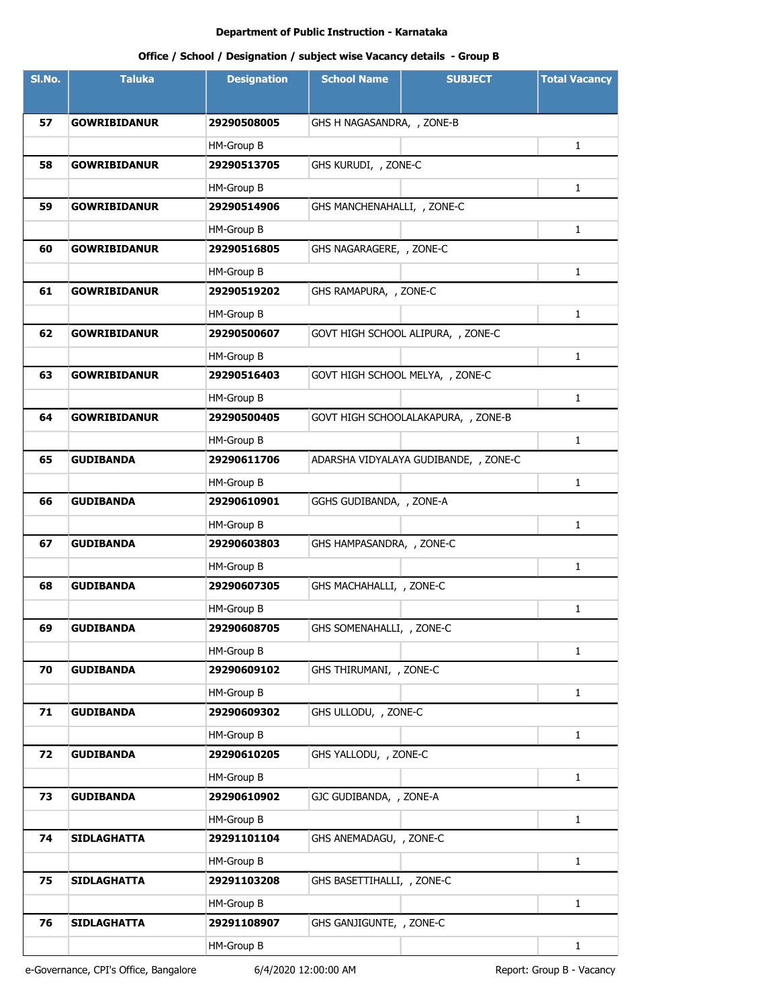| SI.No. | <b>Taluka</b>       | <b>Designation</b> | <b>School Name</b>               | <b>SUBJECT</b>                        | <b>Total Vacancy</b> |
|--------|---------------------|--------------------|----------------------------------|---------------------------------------|----------------------|
|        |                     |                    |                                  |                                       |                      |
| 57     | <b>GOWRIBIDANUR</b> | 29290508005        | GHS H NAGASANDRA, , ZONE-B       |                                       |                      |
|        |                     | HM-Group B         |                                  |                                       | 1                    |
| 58     | <b>GOWRIBIDANUR</b> | 29290513705        | GHS KURUDI, , ZONE-C             |                                       |                      |
|        |                     | HM-Group B         |                                  |                                       | 1                    |
| 59     | <b>GOWRIBIDANUR</b> | 29290514906        | GHS MANCHENAHALLI, , ZONE-C      |                                       |                      |
|        |                     | HM-Group B         |                                  |                                       | 1                    |
| 60     | <b>GOWRIBIDANUR</b> | 29290516805        | GHS NAGARAGERE, , ZONE-C         |                                       |                      |
|        |                     | HM-Group B         |                                  |                                       | 1                    |
| 61     | <b>GOWRIBIDANUR</b> | 29290519202        | GHS RAMAPURA, , ZONE-C           |                                       |                      |
|        |                     | HM-Group B         |                                  |                                       | 1                    |
| 62     | <b>GOWRIBIDANUR</b> | 29290500607        |                                  | GOVT HIGH SCHOOL ALIPURA, , ZONE-C    |                      |
|        |                     | HM-Group B         |                                  |                                       | 1                    |
| 63     | <b>GOWRIBIDANUR</b> | 29290516403        | GOVT HIGH SCHOOL MELYA, , ZONE-C |                                       |                      |
|        |                     | HM-Group B         |                                  |                                       | $\mathbf{1}$         |
| 64     | <b>GOWRIBIDANUR</b> | 29290500405        |                                  | GOVT HIGH SCHOOLALAKAPURA, , ZONE-B   |                      |
|        |                     | HM-Group B         |                                  |                                       | 1                    |
| 65     | <b>GUDIBANDA</b>    | 29290611706        |                                  | ADARSHA VIDYALAYA GUDIBANDE, , ZONE-C |                      |
|        |                     | HM-Group B         |                                  |                                       | $\mathbf{1}$         |
| 66     | <b>GUDIBANDA</b>    | 29290610901        | GGHS GUDIBANDA, , ZONE-A         |                                       |                      |
|        |                     | HM-Group B         |                                  |                                       | $\mathbf{1}$         |
| 67     | <b>GUDIBANDA</b>    | 29290603803        | GHS HAMPASANDRA, , ZONE-C        |                                       |                      |
|        |                     | HM-Group B         |                                  |                                       | 1                    |
| 68     | <b>GUDIBANDA</b>    | 29290607305        | GHS MACHAHALLI, , ZONE-C         |                                       |                      |
|        |                     | HM-Group B         |                                  |                                       | 1                    |
| 69     | <b>GUDIBANDA</b>    | 29290608705        | GHS SOMENAHALLI, , ZONE-C        |                                       |                      |
|        |                     | HM-Group B         |                                  |                                       | $\mathbf{1}$         |
| 70     | <b>GUDIBANDA</b>    | 29290609102        | GHS THIRUMANI, , ZONE-C          |                                       |                      |
|        |                     | HM-Group B         |                                  |                                       | $\mathbf{1}$         |
| 71     | <b>GUDIBANDA</b>    | 29290609302        | GHS ULLODU, , ZONE-C             |                                       |                      |
|        |                     | HM-Group B         |                                  |                                       | $\mathbf{1}$         |
| 72     | <b>GUDIBANDA</b>    | 29290610205        | GHS YALLODU, , ZONE-C            |                                       |                      |
|        |                     | HM-Group B         |                                  |                                       | $\mathbf{1}$         |
| 73     | <b>GUDIBANDA</b>    | 29290610902        | GJC GUDIBANDA, , ZONE-A          |                                       |                      |
|        |                     | HM-Group B         |                                  |                                       | $\mathbf{1}$         |
| 74     | <b>SIDLAGHATTA</b>  | 29291101104        | GHS ANEMADAGU, , ZONE-C          |                                       |                      |
|        |                     | HM-Group B         |                                  |                                       | $\mathbf{1}$         |
| 75     | <b>SIDLAGHATTA</b>  | 29291103208        | GHS BASETTIHALLI, , ZONE-C       |                                       |                      |
|        |                     | HM-Group B         |                                  |                                       | $\mathbf{1}$         |
| 76     | <b>SIDLAGHATTA</b>  | 29291108907        | GHS GANJIGUNTE, , ZONE-C         |                                       |                      |
|        |                     | HM-Group B         |                                  |                                       | $\mathbf{1}$         |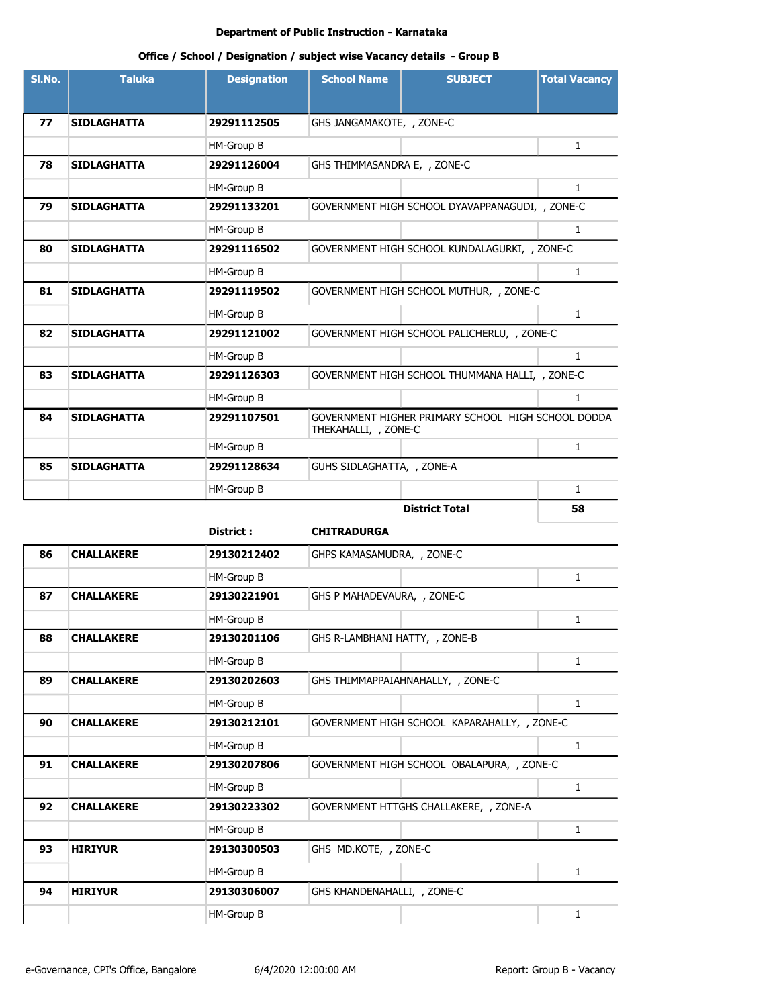| Office / School / Designation / subject wise Vacancy details - Group B |  |
|------------------------------------------------------------------------|--|
|------------------------------------------------------------------------|--|

| SI.No. | <b>Taluka</b>      | <b>Designation</b> | <b>School Name</b>           | <b>SUBJECT</b>                                     | <b>Total Vacancy</b> |
|--------|--------------------|--------------------|------------------------------|----------------------------------------------------|----------------------|
|        |                    |                    |                              |                                                    |                      |
| 77     | <b>SIDLAGHATTA</b> | 29291112505        | GHS JANGAMAKOTE, , ZONE-C    |                                                    |                      |
|        |                    | HM-Group B         |                              |                                                    | $\mathbf{1}$         |
| 78     | <b>SIDLAGHATTA</b> | 29291126004        | GHS THIMMASANDRA E, , ZONE-C |                                                    |                      |
|        |                    | HM-Group B         |                              |                                                    | $\mathbf{1}$         |
| 79     | <b>SIDLAGHATTA</b> | 29291133201        |                              | GOVERNMENT HIGH SCHOOL DYAVAPPANAGUDI, , ZONE-C    |                      |
|        |                    | HM-Group B         |                              |                                                    | 1                    |
| 80     | <b>SIDLAGHATTA</b> | 29291116502        |                              | GOVERNMENT HIGH SCHOOL KUNDALAGURKI, , ZONE-C      |                      |
|        |                    | HM-Group B         |                              |                                                    | $\mathbf{1}$         |
| 81     | <b>SIDLAGHATTA</b> | 29291119502        |                              | GOVERNMENT HIGH SCHOOL MUTHUR, , ZONE-C            |                      |
|        |                    | HM-Group B         |                              |                                                    | $\mathbf{1}$         |
| 82     | <b>SIDLAGHATTA</b> | 29291121002        |                              | GOVERNMENT HIGH SCHOOL PALICHERLU, , ZONE-C        |                      |
|        |                    | HM-Group B         |                              |                                                    | $\mathbf{1}$         |
| 83     | <b>SIDLAGHATTA</b> | 29291126303        |                              | GOVERNMENT HIGH SCHOOL THUMMANA HALLI, , ZONE-C    |                      |
|        |                    | HM-Group B         |                              |                                                    | $\mathbf{1}$         |
| 84     | <b>SIDLAGHATTA</b> | 29291107501        | THEKAHALLI, , ZONE-C         | GOVERNMENT HIGHER PRIMARY SCHOOL HIGH SCHOOL DODDA |                      |
|        |                    | HM-Group B         |                              |                                                    | $\mathbf{1}$         |
| 85     | <b>SIDLAGHATTA</b> | 29291128634        | GUHS SIDLAGHATTA, , ZONE-A   |                                                    |                      |
|        |                    | HM-Group B         |                              |                                                    | $\mathbf{1}$         |
|        |                    |                    |                              | <b>District Total</b>                              | 58                   |
|        |                    | District :         | CUTTD A DUDCA                |                                                    |                      |

|    |                   | <b>District :</b> | <b>CHITRADURGA</b>                           |              |
|----|-------------------|-------------------|----------------------------------------------|--------------|
| 86 | <b>CHALLAKERE</b> | 29130212402       | GHPS KAMASAMUDRA, , ZONE-C                   |              |
|    |                   | HM-Group B        |                                              | 1            |
| 87 | <b>CHALLAKERE</b> | 29130221901       | GHS P MAHADEVAURA, , ZONE-C                  |              |
|    |                   | HM-Group B        |                                              | 1            |
| 88 | <b>CHALLAKERE</b> | 29130201106       | GHS R-LAMBHANI HATTY, , ZONE-B               |              |
|    |                   | HM-Group B        |                                              | $\mathbf{1}$ |
| 89 | <b>CHALLAKERE</b> | 29130202603       | GHS THIMMAPPAIAHNAHALLY, , ZONE-C            |              |
|    |                   | HM-Group B        |                                              | $\mathbf{1}$ |
| 90 | <b>CHALLAKERE</b> | 29130212101       | GOVERNMENT HIGH SCHOOL KAPARAHALLY, , ZONE-C |              |
|    |                   | HM-Group B        |                                              | $\mathbf{1}$ |
| 91 | <b>CHALLAKERE</b> | 29130207806       | GOVERNMENT HIGH SCHOOL OBALAPURA, , ZONE-C   |              |
|    |                   | HM-Group B        |                                              | $\mathbf{1}$ |
| 92 | <b>CHALLAKERE</b> | 29130223302       | GOVERNMENT HTTGHS CHALLAKERE, , ZONE-A       |              |
|    |                   | HM-Group B        |                                              | 1            |
| 93 | <b>HIRIYUR</b>    | 29130300503       | GHS MD.KOTE, , ZONE-C                        |              |
|    |                   | HM-Group B        |                                              | 1            |
| 94 | <b>HIRIYUR</b>    | 29130306007       | GHS KHANDENAHALLI, , ZONE-C                  |              |
|    |                   | HM-Group B        |                                              | 1            |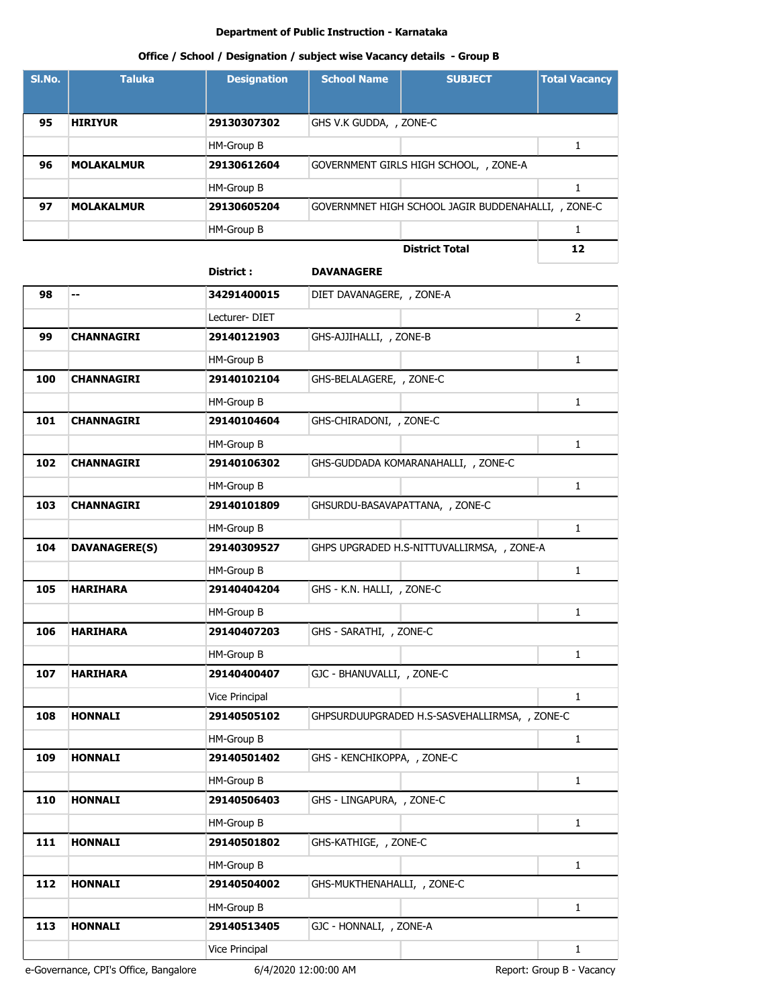#### **Office / School / Designation / subject wise Vacancy details - Group B**

| SI.No. | <b>Taluka</b>     | <b>Designation</b> | <b>School Name</b>      | <b>SUBJECT</b>                                      | <b>Total Vacancy</b> |
|--------|-------------------|--------------------|-------------------------|-----------------------------------------------------|----------------------|
|        |                   |                    |                         |                                                     |                      |
| 95     | <b>HIRIYUR</b>    | 29130307302        | GHS V.K GUDDA, , ZONE-C |                                                     |                      |
|        |                   | HM-Group B         |                         |                                                     |                      |
| 96     | <b>MOLAKALMUR</b> | 29130612604        |                         | GOVERNMENT GIRLS HIGH SCHOOL, , ZONE-A              |                      |
|        |                   | HM-Group B         |                         |                                                     |                      |
| 97     | <b>MOLAKALMUR</b> | 29130605204        |                         | GOVERNMNET HIGH SCHOOL JAGIR BUDDENAHALLI, , ZONE-C |                      |
|        |                   | HM-Group B         |                         |                                                     |                      |
|        |                   |                    |                         | <b>District Total</b>                               | 12                   |

# **District : DAVANAGERE 98 -- 34291400015** DIET DAVANAGERE, , ZONE-A Lecturer- DIET 2 **99 CHANNAGIRI 29140121903** GHS-AJJIHALLI, , ZONE-B HM-Group B 1 **100 CHANNAGIRI 29140102104** GHS-BELALAGERE, , ZONE-C HM-Group B 1 **101 CHANNAGIRI 29140104604** GHS-CHIRADONI, , ZONE-C HM-Group B 1 **102 CHANNAGIRI 29140106302** GHS-GUDDADA KOMARANAHALLI, , ZONE-C HM-Group B 1 **103 CHANNAGIRI 29140101809** GHSURDU-BASAVAPATTANA, , ZONE-C HM-Group B 1 **104 DAVANAGERE(S) 29140309527** GHPS UPGRADED H.S-NITTUVALLIRMSA, , ZONE-A HM-Group B 1 **105 HARIHARA 29140404204** GHS - K.N. HALLI, , ZONE-C HM-Group B 2 1 **106 HARIHARA 29140407203** GHS - SARATHI, , ZONE-C HM-Group B 2 1 **107 HARIHARA 29140400407** GJC - BHANUVALLI, , ZONE-C Vice Principal 1 and 1 and 1 and 1 and 1 and 1 and 1 and 1 and 1 and 1 and 1 and 1 and 1 and 1 and 1 and 1 and 1 and 1 and 1 and 1 and 1 and 1 and 1 and 1 and 1 and 1 and 1 and 1 and 1 and 1 and 1 and 1 and 1 and 1 and 1 a **108 HONNALI 29140505102** GHPSURDUUPGRADED H.S-SASVEHALLIRMSA, , ZONE-C HM-Group B 2 1 **109 HONNALI 29140501402** GHS - KENCHIKOPPA, , ZONE-C HM-Group B 1 **110 HONNALI 29140506403** GHS - LINGAPURA, , ZONE-C HM-Group B 1 **111 HONNALI 29140501802** GHS-KATHIGE, , ZONE-C HM-Group B 1 **112 HONNALI 29140504002** GHS-MUKTHENAHALLI, , ZONE-C HM-Group B 1 **113 HONNALI 29140513405** GJC - HONNALI, , ZONE-A Vice Principal 1 and 1 and 1 and 1 and 1 and 1 and 1 and 1 and 1 and 1 and 1 and 1 and 1 and 1 and 1 and 1 and 1 and 1 and 1 and 1 and 1 and 1 and 1 and 1 and 1 and 1 and 1 and 1 and 1 and 1 and 1 and 1 and 1 and 1 and 1 a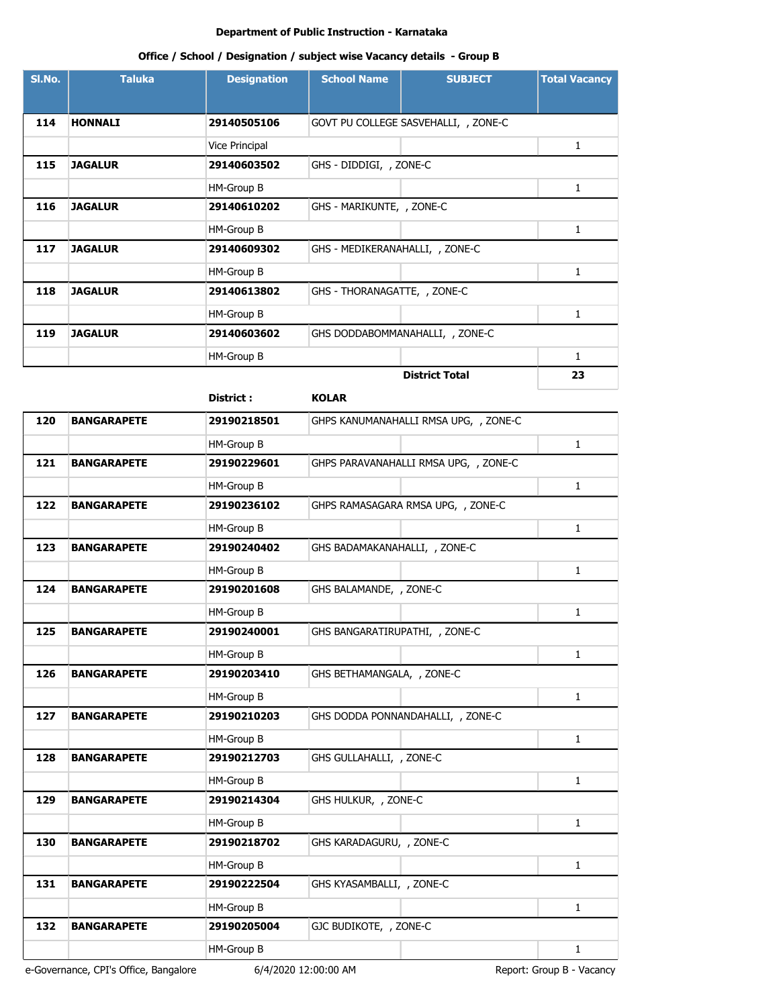# **Office / School / Designation / subject wise Vacancy details - Group B**

| SI.No. | <b>Taluka</b>  | <b>Designation</b> | <b>School Name</b>              | <b>SUBJECT</b>                       | <b>Total Vacancy</b> |
|--------|----------------|--------------------|---------------------------------|--------------------------------------|----------------------|
|        |                |                    |                                 |                                      |                      |
| 114    | <b>HONNALI</b> | 29140505106        |                                 | GOVT PU COLLEGE SASVEHALLI, , ZONE-C |                      |
|        |                | Vice Principal     |                                 |                                      | 1                    |
| 115    | <b>JAGALUR</b> | 29140603502        | GHS - DIDDIGI, , ZONE-C         |                                      |                      |
|        |                | HM-Group B         |                                 |                                      | $\mathbf{1}$         |
| 116    | <b>JAGALUR</b> | 29140610202        | GHS - MARIKUNTE, , ZONE-C       |                                      |                      |
|        |                | HM-Group B         |                                 |                                      | 1                    |
| 117    | <b>JAGALUR</b> | 29140609302        | GHS - MEDIKERANAHALLI, , ZONE-C |                                      |                      |
|        |                | HM-Group B         |                                 |                                      | 1                    |
| 118    | <b>JAGALUR</b> | 29140613802        | GHS - THORANAGATTE, , ZONE-C    |                                      |                      |
|        |                | HM-Group B         |                                 |                                      | 1                    |
| 119    | <b>JAGALUR</b> | 29140603602        |                                 | GHS DODDABOMMANAHALLI, , ZONE-C      |                      |
|        |                | HM-Group B         |                                 |                                      | 1                    |
|        |                |                    |                                 | <b>District Total</b>                | 23                   |

|     |                    | District :  | <b>KOLAR</b>                          |              |
|-----|--------------------|-------------|---------------------------------------|--------------|
| 120 | <b>BANGARAPETE</b> | 29190218501 | GHPS KANUMANAHALLI RMSA UPG, , ZONE-C |              |
|     |                    | HM-Group B  |                                       | $\mathbf{1}$ |
| 121 | <b>BANGARAPETE</b> | 29190229601 | GHPS PARAVANAHALLI RMSA UPG, , ZONE-C |              |
|     |                    | HM-Group B  |                                       | $\mathbf{1}$ |
| 122 | <b>BANGARAPETE</b> | 29190236102 | GHPS RAMASAGARA RMSA UPG, , ZONE-C    |              |
|     |                    | HM-Group B  |                                       | $\mathbf{1}$ |
| 123 | <b>BANGARAPETE</b> | 29190240402 | GHS BADAMAKANAHALLI, , ZONE-C         |              |
|     |                    | HM-Group B  |                                       | $\mathbf{1}$ |
| 124 | <b>BANGARAPETE</b> | 29190201608 | GHS BALAMANDE, , ZONE-C               |              |
|     |                    | HM-Group B  |                                       | $\mathbf{1}$ |
| 125 | <b>BANGARAPETE</b> | 29190240001 | GHS BANGARATIRUPATHI, , ZONE-C        |              |
|     |                    | HM-Group B  |                                       | $\mathbf{1}$ |
| 126 | <b>BANGARAPETE</b> | 29190203410 | GHS BETHAMANGALA, , ZONE-C            |              |
|     |                    | HM-Group B  |                                       | $\mathbf{1}$ |
| 127 | <b>BANGARAPETE</b> | 29190210203 | GHS DODDA PONNANDAHALLI, , ZONE-C     |              |
|     |                    | HM-Group B  |                                       | $\mathbf{1}$ |
| 128 | <b>BANGARAPETE</b> | 29190212703 | GHS GULLAHALLI, , ZONE-C              |              |
|     |                    | HM-Group B  |                                       | $\mathbf{1}$ |
| 129 | <b>BANGARAPETE</b> | 29190214304 | GHS HULKUR, , ZONE-C                  |              |
|     |                    | HM-Group B  |                                       | $\mathbf{1}$ |
| 130 | <b>BANGARAPETE</b> | 29190218702 | GHS KARADAGURU, , ZONE-C              |              |
|     |                    | HM-Group B  |                                       | $\mathbf{1}$ |
| 131 | <b>BANGARAPETE</b> | 29190222504 | GHS KYASAMBALLI, , ZONE-C             |              |
|     |                    | HM-Group B  |                                       | $\mathbf{1}$ |
| 132 | <b>BANGARAPETE</b> | 29190205004 | GJC BUDIKOTE, , ZONE-C                |              |
|     |                    | HM-Group B  |                                       | 1            |
|     |                    |             |                                       |              |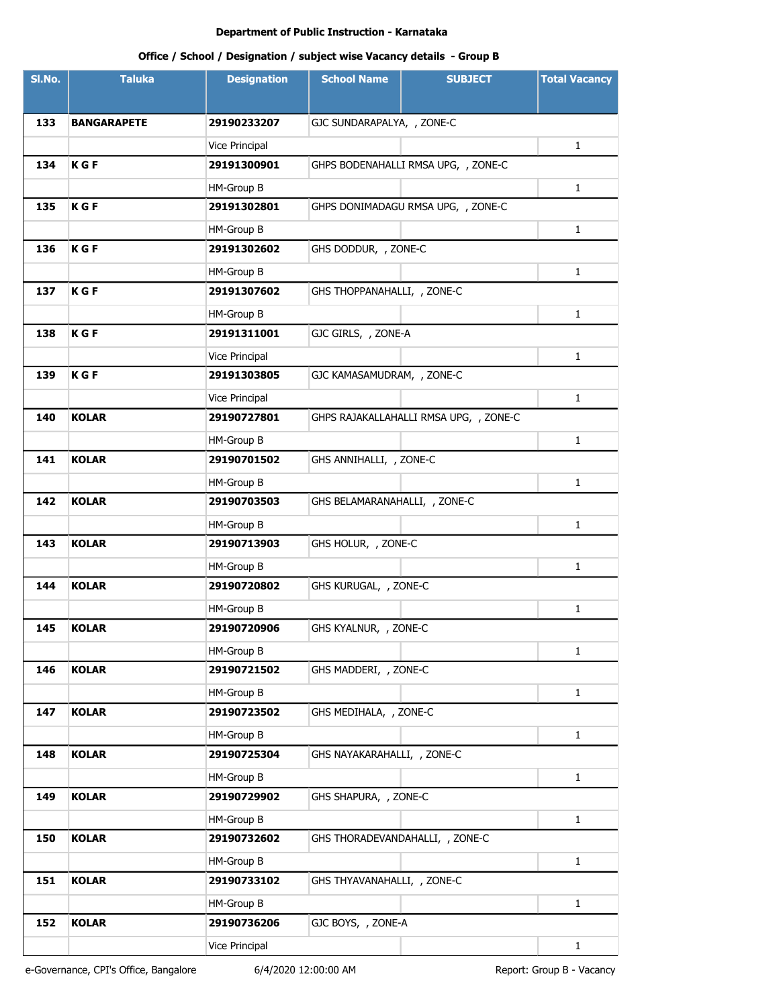# **Office / School / Designation / subject wise Vacancy details - Group B**

| SI.No. | <b>Taluka</b>      | <b>Designation</b> | <b>School Name</b>              | <b>SUBJECT</b>                         | <b>Total Vacancy</b> |
|--------|--------------------|--------------------|---------------------------------|----------------------------------------|----------------------|
|        |                    |                    |                                 |                                        |                      |
| 133    | <b>BANGARAPETE</b> | 29190233207        | GJC SUNDARAPALYA, , ZONE-C      |                                        |                      |
|        |                    | Vice Principal     |                                 |                                        | 1                    |
| 134    | <b>KGF</b>         | 29191300901        |                                 | GHPS BODENAHALLI RMSA UPG, , ZONE-C    |                      |
|        |                    | HM-Group B         |                                 |                                        | 1                    |
| 135    | <b>KGF</b>         | 29191302801        |                                 | GHPS DONIMADAGU RMSA UPG, , ZONE-C     |                      |
|        |                    | HM-Group B         |                                 |                                        | 1                    |
| 136    | <b>KGF</b>         | 29191302602        | GHS DODDUR, , ZONE-C            |                                        |                      |
|        |                    | HM-Group B         |                                 |                                        | 1                    |
| 137    | K G F              | 29191307602        | GHS THOPPANAHALLI, , ZONE-C     |                                        |                      |
|        |                    | HM-Group B         |                                 |                                        | $\mathbf{1}$         |
| 138    | <b>KGF</b>         | 29191311001        | GJC GIRLS, , ZONE-A             |                                        |                      |
|        |                    | Vice Principal     |                                 |                                        | $\mathbf{1}$         |
| 139    | <b>KGF</b>         | 29191303805        | GJC KAMASAMUDRAM, , ZONE-C      |                                        |                      |
|        |                    | Vice Principal     |                                 |                                        | $\mathbf{1}$         |
| 140    | <b>KOLAR</b>       | 29190727801        |                                 | GHPS RAJAKALLAHALLI RMSA UPG, , ZONE-C |                      |
|        |                    | HM-Group B         |                                 |                                        | $\mathbf{1}$         |
| 141    | <b>KOLAR</b>       | 29190701502        | GHS ANNIHALLI, , ZONE-C         |                                        |                      |
|        |                    | HM-Group B         |                                 |                                        | $\mathbf{1}$         |
| 142    | <b>KOLAR</b>       | 29190703503        | GHS BELAMARANAHALLI, , ZONE-C   |                                        |                      |
|        |                    | HM-Group B         |                                 |                                        | $\mathbf{1}$         |
| 143    | <b>KOLAR</b>       | 29190713903        | GHS HOLUR, , ZONE-C             |                                        |                      |
|        |                    | HM-Group B         |                                 |                                        | $\mathbf{1}$         |
| 144    | <b>KOLAR</b>       | 29190720802        | GHS KURUGAL, , ZONE-C           |                                        |                      |
|        |                    | HM-Group B         |                                 |                                        | $\mathbf{1}$         |
| 145    | <b>KOLAR</b>       | 29190720906        | GHS KYALNUR, , ZONE-C           |                                        |                      |
|        |                    | HM-Group B         |                                 |                                        | $\mathbf{1}$         |
| 146    | <b>KOLAR</b>       | 29190721502        | GHS MADDERI, , ZONE-C           |                                        |                      |
|        |                    | HM-Group B         |                                 |                                        | $\mathbf{1}$         |
| 147    | <b>KOLAR</b>       | 29190723502        | GHS MEDIHALA, , ZONE-C          |                                        |                      |
|        |                    | HM-Group B         |                                 |                                        | $\mathbf{1}$         |
| 148    | <b>KOLAR</b>       | 29190725304        | GHS NAYAKARAHALLI, , ZONE-C     |                                        |                      |
|        |                    | HM-Group B         |                                 |                                        | $\mathbf{1}$         |
| 149    | <b>KOLAR</b>       | 29190729902        | GHS SHAPURA, , ZONE-C           |                                        |                      |
|        |                    | HM-Group B         |                                 |                                        | $\mathbf{1}$         |
| 150    | <b>KOLAR</b>       | 29190732602        | GHS THORADEVANDAHALLI, , ZONE-C |                                        |                      |
|        |                    | HM-Group B         |                                 |                                        | $\mathbf{1}$         |
| 151    | <b>KOLAR</b>       | 29190733102        | GHS THYAVANAHALLI, , ZONE-C     |                                        |                      |
|        |                    | HM-Group B         |                                 |                                        | $\mathbf{1}$         |
| 152    | <b>KOLAR</b>       | 29190736206        | GJC BOYS, , ZONE-A              |                                        |                      |
|        |                    | Vice Principal     |                                 |                                        | $\mathbf{1}$         |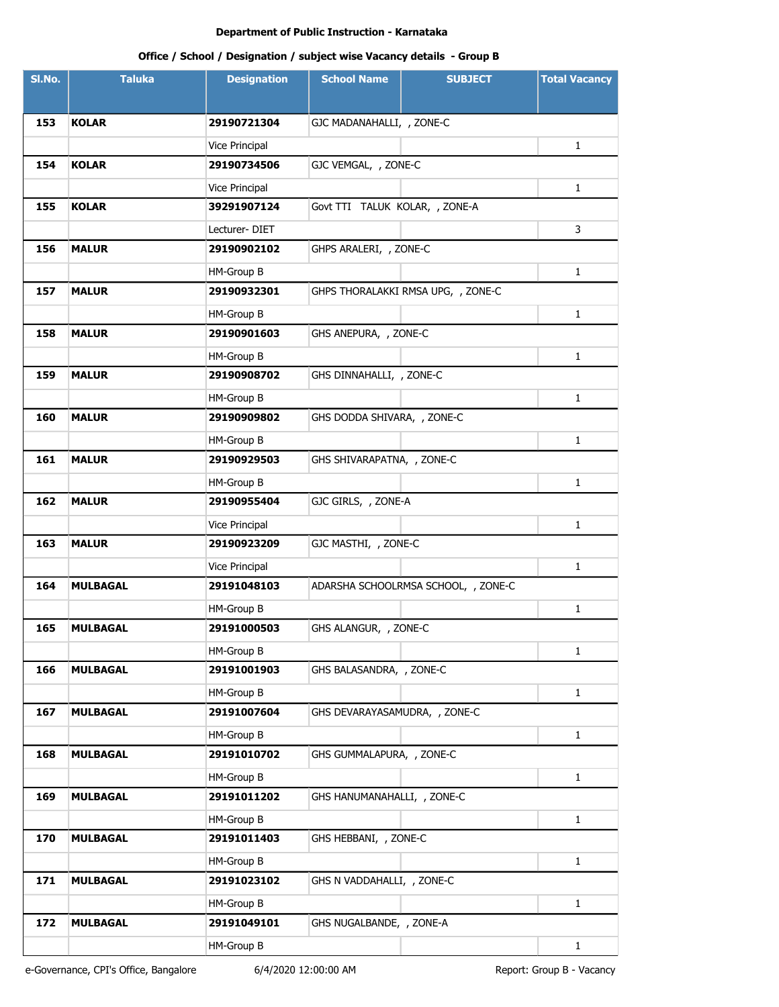# **Office / School / Designation / subject wise Vacancy details - Group B**

| SI.No. | <b>Taluka</b>   | <b>Designation</b> | <b>School Name</b>             | <b>SUBJECT</b>                      | <b>Total Vacancy</b> |
|--------|-----------------|--------------------|--------------------------------|-------------------------------------|----------------------|
|        |                 |                    |                                |                                     |                      |
| 153    | <b>KOLAR</b>    | 29190721304        | GJC MADANAHALLI, , ZONE-C      |                                     |                      |
|        |                 | Vice Principal     |                                |                                     | $\mathbf{1}$         |
| 154    | <b>KOLAR</b>    | 29190734506        | GJC VEMGAL, , ZONE-C           |                                     |                      |
|        |                 | Vice Principal     |                                |                                     | 1                    |
| 155    | <b>KOLAR</b>    | 39291907124        | Govt TTI TALUK KOLAR, , ZONE-A |                                     |                      |
|        |                 | Lecturer-DIET      |                                |                                     | 3                    |
| 156    | <b>MALUR</b>    | 29190902102        | GHPS ARALERI, , ZONE-C         |                                     |                      |
|        |                 | HM-Group B         |                                |                                     | 1                    |
| 157    | <b>MALUR</b>    | 29190932301        |                                | GHPS THORALAKKI RMSA UPG, , ZONE-C  |                      |
|        |                 | HM-Group B         |                                |                                     | $\mathbf{1}$         |
| 158    | <b>MALUR</b>    | 29190901603        | GHS ANEPURA, , ZONE-C          |                                     |                      |
|        |                 | HM-Group B         |                                |                                     | $\mathbf{1}$         |
| 159    | <b>MALUR</b>    | 29190908702        | GHS DINNAHALLI, , ZONE-C       |                                     |                      |
|        |                 | HM-Group B         |                                |                                     | 1                    |
| 160    | <b>MALUR</b>    | 29190909802        | GHS DODDA SHIVARA, , ZONE-C    |                                     |                      |
|        |                 | HM-Group B         |                                |                                     | $\mathbf{1}$         |
| 161    | <b>MALUR</b>    | 29190929503        | GHS SHIVARAPATNA, , ZONE-C     |                                     |                      |
|        |                 | HM-Group B         |                                |                                     | $\mathbf{1}$         |
| 162    | <b>MALUR</b>    | 29190955404        | GJC GIRLS, , ZONE-A            |                                     |                      |
|        |                 | Vice Principal     |                                |                                     | $\mathbf{1}$         |
| 163    | <b>MALUR</b>    | 29190923209        | GJC MASTHI, , ZONE-C           |                                     |                      |
|        |                 | Vice Principal     |                                |                                     | $\mathbf{1}$         |
| 164    | <b>MULBAGAL</b> | 29191048103        |                                | ADARSHA SCHOOLRMSA SCHOOL, , ZONE-C |                      |
|        |                 | HM-Group B         |                                |                                     | $\mathbf{1}$         |
| 165    | MULBAGAL        | 29191000503        | GHS ALANGUR, , ZONE-C          |                                     |                      |
|        |                 | HM-Group B         |                                |                                     | $\mathbf{1}$         |
| 166    | <b>MULBAGAL</b> | 29191001903        | GHS BALASANDRA, , ZONE-C       |                                     |                      |
|        |                 | HM-Group B         |                                |                                     | $\mathbf{1}$         |
| 167    | <b>MULBAGAL</b> | 29191007604        | GHS DEVARAYASAMUDRA, , ZONE-C  |                                     |                      |
|        |                 | HM-Group B         |                                |                                     | $\mathbf{1}$         |
| 168    | <b>MULBAGAL</b> | 29191010702        | GHS GUMMALAPURA, , ZONE-C      |                                     |                      |
|        |                 | HM-Group B         |                                |                                     | $\mathbf{1}$         |
| 169    | <b>MULBAGAL</b> | 29191011202        | GHS HANUMANAHALLI, , ZONE-C    |                                     |                      |
|        |                 | HM-Group B         |                                |                                     | $\mathbf{1}$         |
| 170    | <b>MULBAGAL</b> | 29191011403        | GHS HEBBANI, , ZONE-C          |                                     |                      |
|        |                 | HM-Group B         |                                |                                     | $\mathbf{1}$         |
| 171    | <b>MULBAGAL</b> | 29191023102        | GHS N VADDAHALLI, , ZONE-C     |                                     |                      |
|        |                 | HM-Group B         |                                |                                     | $\mathbf{1}$         |
| 172    | <b>MULBAGAL</b> | 29191049101        | GHS NUGALBANDE, , ZONE-A       |                                     |                      |
|        |                 | HM-Group B         |                                |                                     | $\mathbf{1}$         |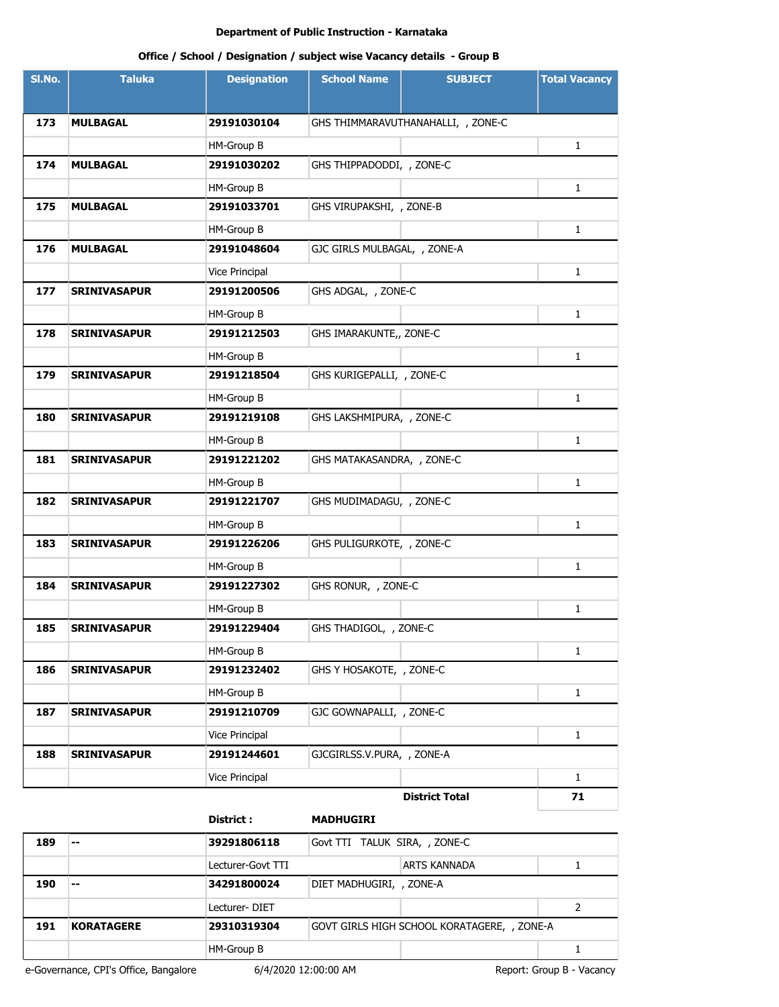# **Office / School / Designation / subject wise Vacancy details - Group B**

| SI.No. | <b>Taluka</b>       | <b>Designation</b> | <b>School Name</b>           | <b>SUBJECT</b>                     | <b>Total Vacancy</b> |
|--------|---------------------|--------------------|------------------------------|------------------------------------|----------------------|
|        |                     |                    |                              |                                    |                      |
| 173    | <b>MULBAGAL</b>     | 29191030104        |                              | GHS THIMMARAVUTHANAHALLI, , ZONE-C |                      |
|        |                     | HM-Group B         |                              |                                    | $\mathbf{1}$         |
| 174    | <b>MULBAGAL</b>     | 29191030202        | GHS THIPPADODDI, , ZONE-C    |                                    |                      |
|        |                     | HM-Group B         |                              |                                    | $\mathbf{1}$         |
| 175    | <b>MULBAGAL</b>     | 29191033701        | GHS VIRUPAKSHI, , ZONE-B     |                                    |                      |
|        |                     | HM-Group B         |                              |                                    | $\mathbf{1}$         |
| 176    | MULBAGAL            | 29191048604        | GJC GIRLS MULBAGAL, , ZONE-A |                                    |                      |
|        |                     | Vice Principal     |                              |                                    | $\mathbf{1}$         |
| 177    | <b>SRINIVASAPUR</b> | 29191200506        | GHS ADGAL, , ZONE-C          |                                    |                      |
|        |                     | HM-Group B         |                              |                                    | $\mathbf{1}$         |
| 178    | <b>SRINIVASAPUR</b> | 29191212503        | GHS IMARAKUNTE,, ZONE-C      |                                    |                      |
|        |                     | HM-Group B         |                              |                                    | 1                    |
| 179    | <b>SRINIVASAPUR</b> | 29191218504        | GHS KURIGEPALLI, , ZONE-C    |                                    |                      |
|        |                     | HM-Group B         |                              |                                    | $\mathbf{1}$         |
| 180    | <b>SRINIVASAPUR</b> | 29191219108        | GHS LAKSHMIPURA, , ZONE-C    |                                    |                      |
|        |                     | HM-Group B         |                              |                                    | 1                    |
| 181    | <b>SRINIVASAPUR</b> | 29191221202        | GHS MATAKASANDRA, , ZONE-C   |                                    |                      |
|        |                     | HM-Group B         |                              |                                    | 1                    |
| 182    | <b>SRINIVASAPUR</b> | 29191221707        | GHS MUDIMADAGU, , ZONE-C     |                                    |                      |
|        |                     | HM-Group B         |                              |                                    | 1                    |
| 183    | <b>SRINIVASAPUR</b> | 29191226206        | GHS PULIGURKOTE, , ZONE-C    |                                    |                      |
|        |                     | HM-Group B         |                              |                                    | 1                    |
| 184    | <b>SRINIVASAPUR</b> | 29191227302        | GHS RONUR, , ZONE-C          |                                    |                      |
|        |                     | HM-Group B         |                              |                                    | 1                    |
| 185    | <b>SRINIVASAPUR</b> | 29191229404        | GHS THADIGOL, , ZONE-C       |                                    |                      |
|        |                     | HM-Group B         |                              |                                    | 1                    |
| 186    | <b>SRINIVASAPUR</b> | 29191232402        | GHS Y HOSAKOTE, , ZONE-C     |                                    |                      |
|        |                     | HM-Group B         |                              |                                    | $\mathbf{1}$         |
| 187    | <b>SRINIVASAPUR</b> | 29191210709        | GJC GOWNAPALLI, , ZONE-C     |                                    |                      |
|        |                     | Vice Principal     |                              |                                    | $\mathbf{1}$         |
| 188    | <b>SRINIVASAPUR</b> | 29191244601        | GJCGIRLSS.V.PURA, , ZONE-A   |                                    |                      |
|        |                     | Vice Principal     |                              |                                    | $\mathbf{1}$         |
|        |                     |                    |                              | <b>District Total</b>              | 71                   |

#### **District : MADHUGIRI**

**189 -- 39291806118** Govt TTI TALUK SIRA, , ZONE-C Lecturer-Govt TTI ARTS KANNADA 1 **190 -- 34291800024** DIET MADHUGIRI, , ZONE-A Lecturer- DIET 2 **191 KORATAGERE 29310319304** GOVT GIRLS HIGH SCHOOL KORATAGERE, , ZONE-A HM-Group B 1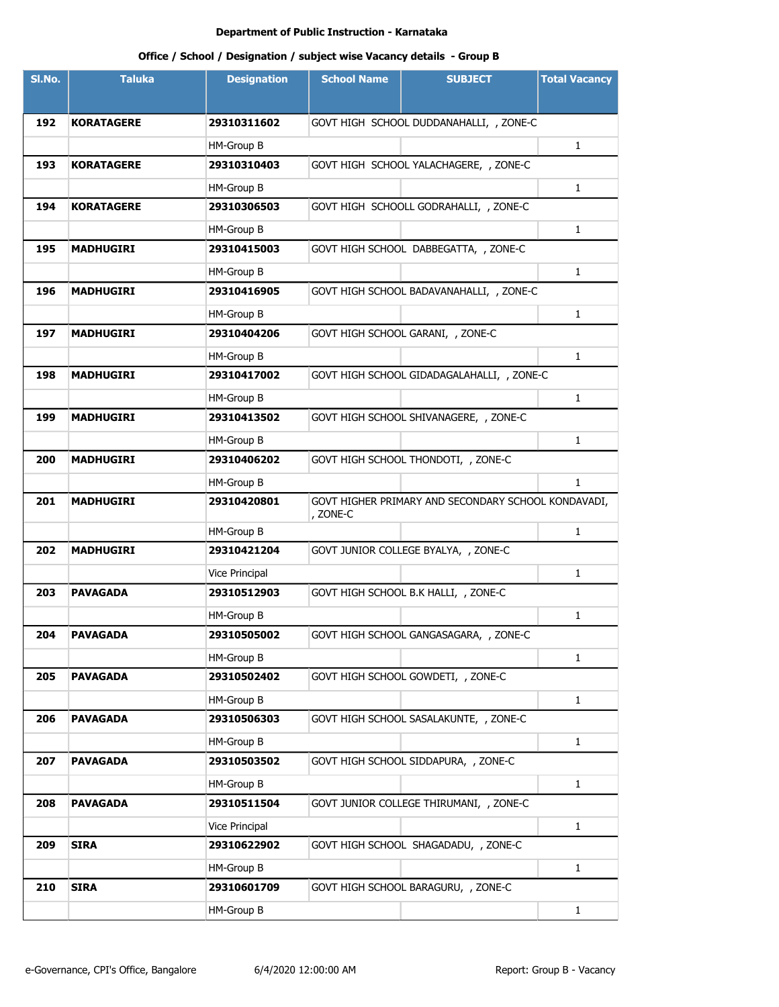| SI.No. | <b>Taluka</b>     | <b>Designation</b> | <b>School Name</b> | <b>SUBJECT</b>                                      | <b>Total Vacancy</b> |
|--------|-------------------|--------------------|--------------------|-----------------------------------------------------|----------------------|
|        |                   |                    |                    |                                                     |                      |
| 192    | <b>KORATAGERE</b> | 29310311602        |                    | GOVT HIGH SCHOOL DUDDANAHALLI, , ZONE-C             |                      |
|        |                   | HM-Group B         |                    |                                                     | 1                    |
| 193    | <b>KORATAGERE</b> | 29310310403        |                    | GOVT HIGH SCHOOL YALACHAGERE, , ZONE-C              |                      |
|        |                   | HM-Group B         |                    |                                                     | $\mathbf{1}$         |
| 194    | <b>KORATAGERE</b> | 29310306503        |                    | GOVT HIGH SCHOOLL GODRAHALLI, , ZONE-C              |                      |
|        |                   | HM-Group B         |                    |                                                     | 1                    |
| 195    | <b>MADHUGIRI</b>  | 29310415003        |                    | GOVT HIGH SCHOOL DABBEGATTA, , ZONE-C               |                      |
|        |                   | HM-Group B         |                    |                                                     | $\mathbf{1}$         |
| 196    | <b>MADHUGIRI</b>  | 29310416905        |                    | GOVT HIGH SCHOOL BADAVANAHALLI, , ZONE-C            |                      |
|        |                   | HM-Group B         |                    |                                                     | $\mathbf{1}$         |
| 197    | <b>MADHUGIRI</b>  | 29310404206        |                    | GOVT HIGH SCHOOL GARANI, , ZONE-C                   |                      |
|        |                   | HM-Group B         |                    |                                                     | $\mathbf{1}$         |
| 198    | <b>MADHUGIRI</b>  | 29310417002        |                    | GOVT HIGH SCHOOL GIDADAGALAHALLI, , ZONE-C          |                      |
|        |                   | HM-Group B         |                    |                                                     | $\mathbf{1}$         |
| 199    | <b>MADHUGIRI</b>  | 29310413502        |                    | GOVT HIGH SCHOOL SHIVANAGERE, , ZONE-C              |                      |
|        |                   | HM-Group B         |                    |                                                     | 1                    |
| 200    | <b>MADHUGIRI</b>  | 29310406202        |                    | GOVT HIGH SCHOOL THONDOTI, , ZONE-C                 |                      |
|        |                   | HM-Group B         |                    |                                                     | $\mathbf{1}$         |
| 201    | <b>MADHUGIRI</b>  | 29310420801        | , ZONE-C           | GOVT HIGHER PRIMARY AND SECONDARY SCHOOL KONDAVADI, |                      |
|        |                   | HM-Group B         |                    |                                                     | 1                    |
| 202    | <b>MADHUGIRI</b>  | 29310421204        |                    | GOVT JUNIOR COLLEGE BYALYA, , ZONE-C                |                      |
|        |                   | Vice Principal     |                    |                                                     | $\mathbf{1}$         |
| 203    | <b>PAVAGADA</b>   | 29310512903        |                    | GOVT HIGH SCHOOL B.K HALLI, , ZONE-C                |                      |
|        |                   | HM-Group B         |                    |                                                     | 1                    |
| 204    | PAVAGADA          | 29310505002        |                    | GOVT HIGH SCHOOL GANGASAGARA, , ZONE-C              |                      |
|        |                   | HM-Group B         |                    |                                                     | $\mathbf{1}$         |
| 205    | <b>PAVAGADA</b>   | 29310502402        |                    | GOVT HIGH SCHOOL GOWDETI, , ZONE-C                  |                      |
|        |                   | HM-Group B         |                    |                                                     | $\mathbf{1}$         |
| 206    | <b>PAVAGADA</b>   | 29310506303        |                    | GOVT HIGH SCHOOL SASALAKUNTE, , ZONE-C              |                      |
|        |                   | HM-Group B         |                    |                                                     | 1                    |
| 207    | <b>PAVAGADA</b>   | 29310503502        |                    | GOVT HIGH SCHOOL SIDDAPURA, , ZONE-C                |                      |
|        |                   | HM-Group B         |                    |                                                     | $\mathbf{1}$         |
| 208    | <b>PAVAGADA</b>   | 29310511504        |                    | GOVT JUNIOR COLLEGE THIRUMANI, , ZONE-C             |                      |
|        |                   | Vice Principal     |                    |                                                     | $\mathbf{1}$         |
| 209    | <b>SIRA</b>       | 29310622902        |                    | GOVT HIGH SCHOOL SHAGADADU, , ZONE-C                |                      |
|        |                   | HM-Group B         |                    |                                                     | $\mathbf{1}$         |
| 210    | <b>SIRA</b>       | 29310601709        |                    | GOVT HIGH SCHOOL BARAGURU, , ZONE-C                 |                      |
|        |                   | HM-Group B         |                    |                                                     | $\mathbf{1}$         |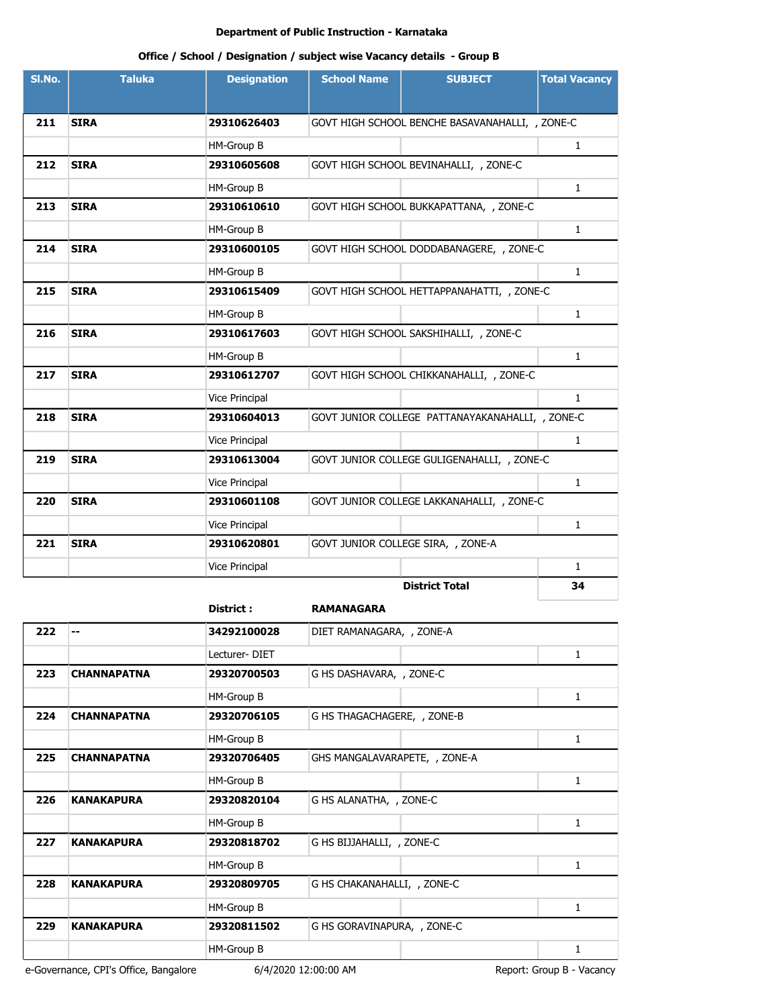# **Office / School / Designation / subject wise Vacancy details - Group B**

| SI.No. | <b>Taluka</b> | <b>Designation</b>    | <b>School Name</b> | <b>SUBJECT</b>                                   | <b>Total Vacancy</b> |
|--------|---------------|-----------------------|--------------------|--------------------------------------------------|----------------------|
|        |               |                       |                    |                                                  |                      |
| 211    | <b>SIRA</b>   | 29310626403           |                    | GOVT HIGH SCHOOL BENCHE BASAVANAHALLI, , ZONE-C  |                      |
|        |               | HM-Group B            |                    |                                                  | $\mathbf{1}$         |
| 212    | <b>SIRA</b>   | 29310605608           |                    | GOVT HIGH SCHOOL BEVINAHALLI, , ZONE-C           |                      |
|        |               | HM-Group B            |                    |                                                  | $\mathbf{1}$         |
| 213    | <b>SIRA</b>   | 29310610610           |                    | GOVT HIGH SCHOOL BUKKAPATTANA, , ZONE-C          |                      |
|        |               | HM-Group B            |                    |                                                  | $\mathbf{1}$         |
| 214    | <b>SIRA</b>   | 29310600105           |                    | GOVT HIGH SCHOOL DODDABANAGERE, , ZONE-C         |                      |
|        |               | HM-Group B            |                    |                                                  | $\mathbf{1}$         |
| 215    | <b>SIRA</b>   | 29310615409           |                    | GOVT HIGH SCHOOL HETTAPPANAHATTI, , ZONE-C       |                      |
|        |               | HM-Group B            |                    |                                                  | $\mathbf{1}$         |
| 216    | <b>SIRA</b>   | 29310617603           |                    | GOVT HIGH SCHOOL SAKSHIHALLI, , ZONE-C           |                      |
|        |               | HM-Group B            |                    |                                                  | $\mathbf{1}$         |
| 217    | <b>SIRA</b>   | 29310612707           |                    | GOVT HIGH SCHOOL CHIKKANAHALLI, , ZONE-C         |                      |
|        |               | Vice Principal        |                    |                                                  | $\mathbf{1}$         |
| 218    | <b>SIRA</b>   | 29310604013           |                    | GOVT JUNIOR COLLEGE PATTANAYAKANAHALLI, , ZONE-C |                      |
|        |               | Vice Principal        |                    |                                                  | $\mathbf{1}$         |
| 219    | <b>SIRA</b>   | 29310613004           |                    | GOVT JUNIOR COLLEGE GULIGENAHALLI, , ZONE-C      |                      |
|        |               | <b>Vice Principal</b> |                    |                                                  | $\mathbf{1}$         |
| 220    | <b>SIRA</b>   | 29310601108           |                    | GOVT JUNIOR COLLEGE LAKKANAHALLI, , ZONE-C       |                      |
|        |               | Vice Principal        |                    |                                                  | $\mathbf{1}$         |
| 221    | <b>SIRA</b>   | 29310620801           |                    | GOVT JUNIOR COLLEGE SIRA, , ZONE-A               |                      |
|        |               | Vice Principal        |                    |                                                  | $\mathbf{1}$         |
|        |               |                       |                    | <b>District Total</b>                            | 34                   |

**District : RAMANAGARA**

| 222 | --                 | 34292100028   | DIET RAMANAGARA, , ZONE-A     |   |
|-----|--------------------|---------------|-------------------------------|---|
|     |                    | Lecturer-DIET |                               | 1 |
| 223 | <b>CHANNAPATNA</b> | 29320700503   | G HS DASHAVARA, , ZONE-C      |   |
|     |                    | HM-Group B    |                               | 1 |
| 224 | <b>CHANNAPATNA</b> | 29320706105   | G HS THAGACHAGERE, , ZONE-B   |   |
|     |                    | HM-Group B    |                               | 1 |
| 225 | <b>CHANNAPATNA</b> | 29320706405   | GHS MANGALAVARAPETE, , ZONE-A |   |
|     |                    | HM-Group B    |                               | 1 |
| 226 | <b>KANAKAPURA</b>  | 29320820104   | G HS ALANATHA, , ZONE-C       |   |
|     |                    | HM-Group B    |                               | 1 |
| 227 | <b>KANAKAPURA</b>  | 29320818702   | G HS BIJJAHALLI, , ZONE-C     |   |
|     |                    | HM-Group B    |                               | 1 |
| 228 | <b>KANAKAPURA</b>  | 29320809705   | G HS CHAKANAHALLI, , ZONE-C   |   |
|     |                    | HM-Group B    |                               | 1 |
| 229 | <b>KANAKAPURA</b>  | 29320811502   | G HS GORAVINAPURA, , ZONE-C   |   |
|     |                    | HM-Group B    |                               | 1 |
|     |                    |               |                               |   |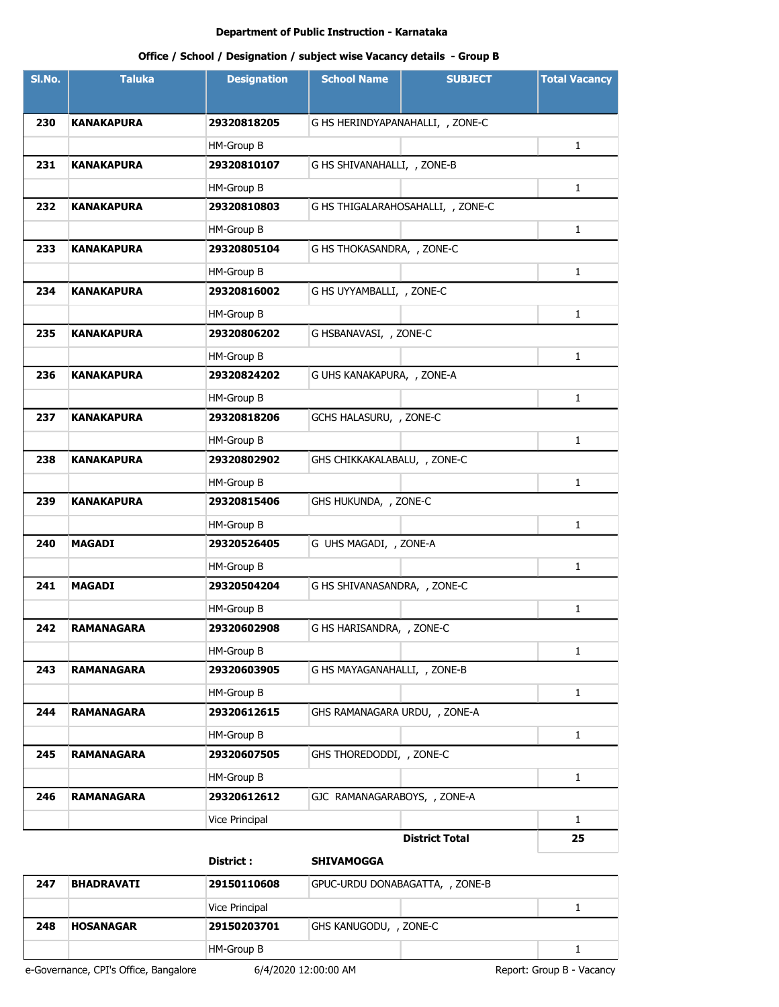# **Office / School / Designation / subject wise Vacancy details - Group B**

| SI.No. | <b>Taluka</b>     | <b>Designation</b> | <b>School Name</b>                | <b>SUBJECT</b>        | <b>Total Vacancy</b> |
|--------|-------------------|--------------------|-----------------------------------|-----------------------|----------------------|
| 230    | <b>KANAKAPURA</b> | 29320818205        | G HS HERINDYAPANAHALLI, , ZONE-C  |                       |                      |
|        |                   | HM-Group B         |                                   |                       | 1                    |
| 231    | <b>KANAKAPURA</b> | 29320810107        | G HS SHIVANAHALLI, , ZONE-B       |                       |                      |
|        |                   | HM-Group B         |                                   |                       | 1                    |
| 232    | <b>KANAKAPURA</b> | 29320810803        | G HS THIGALARAHOSAHALLI, , ZONE-C |                       |                      |
|        |                   | HM-Group B         |                                   |                       | $\mathbf{1}$         |
| 233    | <b>KANAKAPURA</b> | 29320805104        | G HS THOKASANDRA, , ZONE-C        |                       |                      |
|        |                   | HM-Group B         |                                   |                       | $\mathbf{1}$         |
| 234    | KANAKAPURA        | 29320816002        | G HS UYYAMBALLI, , ZONE-C         |                       |                      |
|        |                   | HM-Group B         |                                   |                       | $\mathbf{1}$         |
| 235    | <b>KANAKAPURA</b> | 29320806202        | G HSBANAVASI, , ZONE-C            |                       |                      |
|        |                   | HM-Group B         |                                   |                       | $\mathbf{1}$         |
| 236    | <b>KANAKAPURA</b> | 29320824202        | G UHS KANAKAPURA, , ZONE-A        |                       |                      |
|        |                   | HM-Group B         |                                   |                       | $\mathbf{1}$         |
| 237    | <b>KANAKAPURA</b> | 29320818206        | GCHS HALASURU, , ZONE-C           |                       |                      |
|        |                   | HM-Group B         |                                   |                       | 1                    |
| 238    | <b>KANAKAPURA</b> | 29320802902        | GHS CHIKKAKALABALU, , ZONE-C      |                       |                      |
|        |                   | HM-Group B         |                                   |                       | $\mathbf{1}$         |
| 239    | <b>KANAKAPURA</b> | 29320815406        | GHS HUKUNDA, , ZONE-C             |                       |                      |
|        |                   | HM-Group B         |                                   |                       | 1                    |
| 240    | <b>MAGADI</b>     | 29320526405        | G UHS MAGADI, , ZONE-A            |                       |                      |
|        |                   | HM-Group B         |                                   |                       | $\mathbf{1}$         |
| 241    | <b>MAGADI</b>     | 29320504204        | G HS SHIVANASANDRA, , ZONE-C      |                       |                      |
|        |                   | HM-Group B         |                                   |                       | 1                    |
| 242    | <b>RAMANAGARA</b> | 29320602908        | G HS HARISANDRA, , ZONE-C         |                       |                      |
|        |                   | HM-Group B         |                                   |                       | 1                    |
| 243    | <b>RAMANAGARA</b> | 29320603905        | G HS MAYAGANAHALLI, , ZONE-B      |                       |                      |
|        |                   | HM-Group B         |                                   |                       | $\mathbf{1}$         |
| 244    | <b>RAMANAGARA</b> | 29320612615        | GHS RAMANAGARA URDU, , ZONE-A     |                       |                      |
|        |                   | HM-Group B         |                                   |                       | $\mathbf{1}$         |
| 245    | <b>RAMANAGARA</b> | 29320607505        | GHS THOREDODDI, , ZONE-C          |                       |                      |
|        |                   | HM-Group B         |                                   |                       | $\mathbf{1}$         |
| 246    | <b>RAMANAGARA</b> | 29320612612        | GJC RAMANAGARABOYS, , ZONE-A      |                       |                      |
|        |                   | Vice Principal     |                                   |                       | $\mathbf{1}$         |
|        |                   |                    |                                   | <b>District Total</b> | 25                   |
|        |                   | District:          | <b>SHIVAMOGGA</b>                 |                       |                      |

| 247 | <b>BHADRAVATI</b> | 29150110608    | GPUC-URDU DONABAGATTA, , ZONE-B |  |  |
|-----|-------------------|----------------|---------------------------------|--|--|
|     |                   | Vice Principal |                                 |  |  |
| 248 | <b>HOSANAGAR</b>  | 29150203701    | GHS KANUGODU, , ZONE-C          |  |  |
|     |                   | HM-Group B     |                                 |  |  |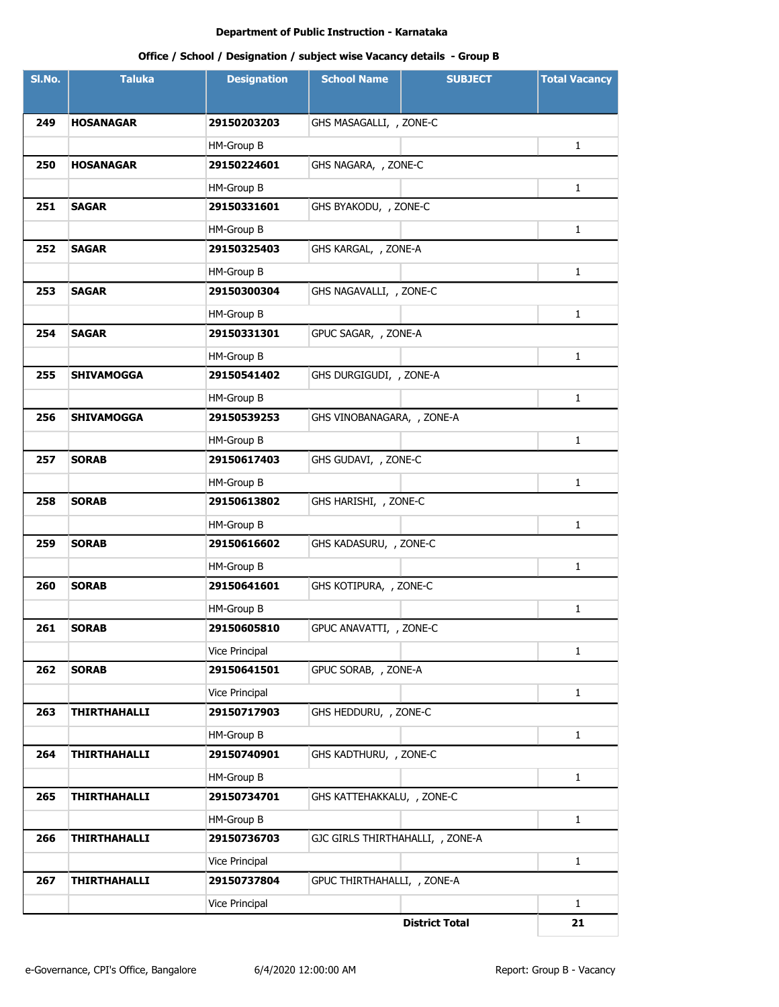| SI.No. | <b>Taluka</b>       | <b>Designation</b> | <b>School Name</b>               | <b>SUBJECT</b>        | <b>Total Vacancy</b> |
|--------|---------------------|--------------------|----------------------------------|-----------------------|----------------------|
|        |                     |                    |                                  |                       |                      |
| 249    | <b>HOSANAGAR</b>    | 29150203203        | GHS MASAGALLI, , ZONE-C          |                       |                      |
|        |                     | HM-Group B         |                                  |                       | 1                    |
| 250    | <b>HOSANAGAR</b>    | 29150224601        | GHS NAGARA, , ZONE-C             |                       |                      |
|        |                     | HM-Group B         |                                  |                       | 1                    |
| 251    | <b>SAGAR</b>        | 29150331601        | GHS BYAKODU, , ZONE-C            |                       |                      |
|        |                     | HM-Group B         |                                  |                       | $\mathbf{1}$         |
| 252    | <b>SAGAR</b>        | 29150325403        | GHS KARGAL, , ZONE-A             |                       |                      |
|        |                     | HM-Group B         |                                  |                       | $\mathbf{1}$         |
| 253    | <b>SAGAR</b>        | 29150300304        | GHS NAGAVALLI, , ZONE-C          |                       |                      |
|        |                     | HM-Group B         |                                  |                       | 1                    |
| 254    | <b>SAGAR</b>        | 29150331301        | GPUC SAGAR, , ZONE-A             |                       |                      |
|        |                     | HM-Group B         |                                  |                       | 1                    |
| 255    | <b>SHIVAMOGGA</b>   | 29150541402        | GHS DURGIGUDI, , ZONE-A          |                       |                      |
|        |                     | HM-Group B         |                                  |                       | 1                    |
| 256    | <b>SHIVAMOGGA</b>   | 29150539253        | GHS VINOBANAGARA, , ZONE-A       |                       |                      |
|        |                     | HM-Group B         |                                  |                       | 1                    |
| 257    | <b>SORAB</b>        | 29150617403        | GHS GUDAVI, , ZONE-C             |                       |                      |
|        |                     | HM-Group B         |                                  |                       | 1                    |
| 258    | <b>SORAB</b>        | 29150613802        | GHS HARISHI, , ZONE-C            |                       |                      |
|        |                     | HM-Group B         |                                  |                       | $\mathbf{1}$         |
| 259    | <b>SORAB</b>        | 29150616602        | GHS KADASURU, , ZONE-C           |                       |                      |
|        |                     | HM-Group B         |                                  |                       | $\mathbf{1}$         |
| 260    | <b>SORAB</b>        | 29150641601        | GHS KOTIPURA, , ZONE-C           |                       |                      |
|        |                     | HM-Group B         |                                  |                       | 1                    |
| 261    | <b>SORAB</b>        | 29150605810        | GPUC ANAVATTI, , ZONE-C          |                       |                      |
|        |                     | Vice Principal     |                                  |                       | 1                    |
| 262    | <b>SORAB</b>        | 29150641501        | GPUC SORAB, , ZONE-A             |                       |                      |
|        |                     | Vice Principal     |                                  |                       | $\mathbf{1}$         |
| 263    | <b>THIRTHAHALLI</b> | 29150717903        | GHS HEDDURU, , ZONE-C            |                       |                      |
|        |                     | HM-Group B         |                                  |                       | $\mathbf{1}$         |
| 264    | THIRTHAHALLI        | 29150740901        | GHS KADTHURU, , ZONE-C           |                       |                      |
|        |                     | HM-Group B         |                                  |                       | $\mathbf{1}$         |
| 265    | <b>THIRTHAHALLI</b> | 29150734701        | GHS KATTEHAKKALU, , ZONE-C       |                       |                      |
|        |                     | HM-Group B         |                                  |                       | $\mathbf{1}$         |
| 266    | <b>THIRTHAHALLI</b> | 29150736703        | GJC GIRLS THIRTHAHALLI, , ZONE-A |                       |                      |
|        |                     | Vice Principal     |                                  |                       | $\mathbf{1}$         |
| 267    | <b>THIRTHAHALLI</b> | 29150737804        | GPUC THIRTHAHALLI, , ZONE-A      |                       |                      |
|        |                     | Vice Principal     |                                  |                       | $\mathbf{1}$         |
|        |                     |                    |                                  | <b>District Total</b> | 21                   |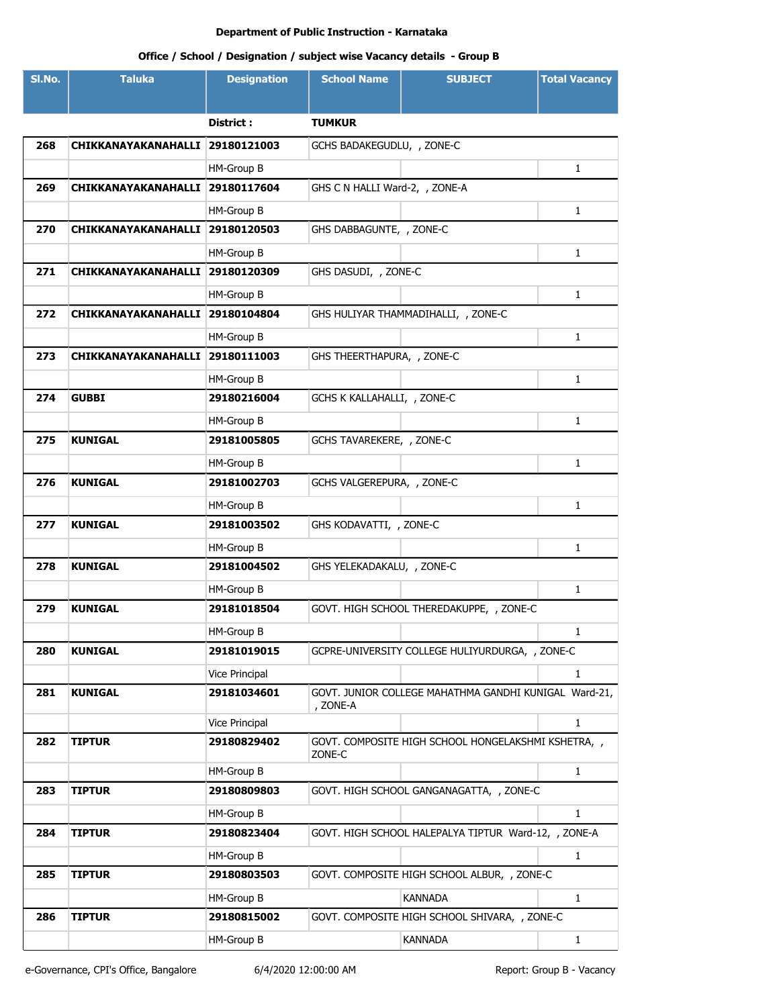| SI.No. | <b>Taluka</b>       | <b>Designation</b> | <b>School Name</b>             | <b>SUBJECT</b>                                        | <b>Total Vacancy</b> |
|--------|---------------------|--------------------|--------------------------------|-------------------------------------------------------|----------------------|
|        |                     |                    |                                |                                                       |                      |
|        |                     | District:          | <b>TUMKUR</b>                  |                                                       |                      |
| 268    | CHIKKANAYAKANAHALLI | 29180121003        | GCHS BADAKEGUDLU, , ZONE-C     |                                                       |                      |
|        |                     | HM-Group B         |                                |                                                       | $\mathbf{1}$         |
| 269    | CHIKKANAYAKANAHALLI | 29180117604        | GHS C N HALLI Ward-2, , ZONE-A |                                                       |                      |
|        |                     | HM-Group B         |                                |                                                       | $\mathbf{1}$         |
| 270    | CHIKKANAYAKANAHALLI | 29180120503        | GHS DABBAGUNTE, , ZONE-C       |                                                       |                      |
|        |                     | HM-Group B         |                                |                                                       | $\mathbf{1}$         |
| 271    | CHIKKANAYAKANAHALLI | 29180120309        | GHS DASUDI, , ZONE-C           |                                                       |                      |
|        |                     | HM-Group B         |                                |                                                       | $\mathbf{1}$         |
| 272    | CHIKKANAYAKANAHALLI | 29180104804        |                                | GHS HULIYAR THAMMADIHALLI, , ZONE-C                   |                      |
|        |                     | HM-Group B         |                                |                                                       | $\mathbf{1}$         |
| 273    | CHIKKANAYAKANAHALLI | 29180111003        | GHS THEERTHAPURA, , ZONE-C     |                                                       |                      |
|        |                     | HM-Group B         |                                |                                                       | $\mathbf{1}$         |
| 274    | <b>GUBBI</b>        | 29180216004        | GCHS K KALLAHALLI, , ZONE-C    |                                                       |                      |
|        |                     | HM-Group B         |                                |                                                       | $\mathbf{1}$         |
| 275    | <b>KUNIGAL</b>      | 29181005805        | GCHS TAVAREKERE, , ZONE-C      |                                                       |                      |
|        |                     | HM-Group B         |                                |                                                       | $\mathbf{1}$         |
| 276    | <b>KUNIGAL</b>      | 29181002703        | GCHS VALGEREPURA, , ZONE-C     |                                                       |                      |
|        |                     | HM-Group B         |                                |                                                       | $\mathbf{1}$         |
| 277    | <b>KUNIGAL</b>      | 29181003502        | GHS KODAVATTI, , ZONE-C        |                                                       |                      |
|        |                     | HM-Group B         |                                |                                                       | $\mathbf{1}$         |
| 278    | <b>KUNIGAL</b>      | 29181004502        | GHS YELEKADAKALU, , ZONE-C     |                                                       |                      |
|        |                     | HM-Group B         |                                |                                                       | $\mathbf{1}$         |
| 279    | <b>KUNIGAL</b>      | 29181018504        |                                | GOVT. HIGH SCHOOL THEREDAKUPPE, , ZONE-C              |                      |
|        |                     | HM-Group B         |                                |                                                       | 1                    |
| 280    | <b>KUNIGAL</b>      | 29181019015        |                                | GCPRE-UNIVERSITY COLLEGE HULIYURDURGA, , ZONE-C       |                      |
|        |                     | Vice Principal     |                                |                                                       | 1                    |
| 281    | <b>KUNIGAL</b>      | 29181034601        | , ZONE-A                       | GOVT. JUNIOR COLLEGE MAHATHMA GANDHI KUNIGAL Ward-21, |                      |
|        |                     | Vice Principal     |                                |                                                       | $\mathbf{1}$         |
| 282    | <b>TIPTUR</b>       | 29180829402        | ZONE-C                         | GOVT. COMPOSITE HIGH SCHOOL HONGELAKSHMI KSHETRA, ,   |                      |
|        |                     | HM-Group B         |                                |                                                       | $\mathbf{1}$         |
| 283    | <b>TIPTUR</b>       | 29180809803        |                                | GOVT. HIGH SCHOOL GANGANAGATTA, , ZONE-C              |                      |
|        |                     | HM-Group B         |                                |                                                       | $\mathbf{1}$         |
| 284    | <b>TIPTUR</b>       | 29180823404        |                                | GOVT. HIGH SCHOOL HALEPALYA TIPTUR Ward-12, , ZONE-A  |                      |
|        |                     | HM-Group B         |                                |                                                       | $\mathbf{1}$         |
| 285    | <b>TIPTUR</b>       | 29180803503        |                                | GOVT. COMPOSITE HIGH SCHOOL ALBUR, , ZONE-C           |                      |
|        |                     | HM-Group B         |                                | <b>KANNADA</b>                                        | $\mathbf{1}$         |
| 286    | <b>TIPTUR</b>       | 29180815002        |                                | GOVT. COMPOSITE HIGH SCHOOL SHIVARA, , ZONE-C         |                      |
|        |                     | HM-Group B         |                                | KANNADA                                               | $\mathbf{1}$         |